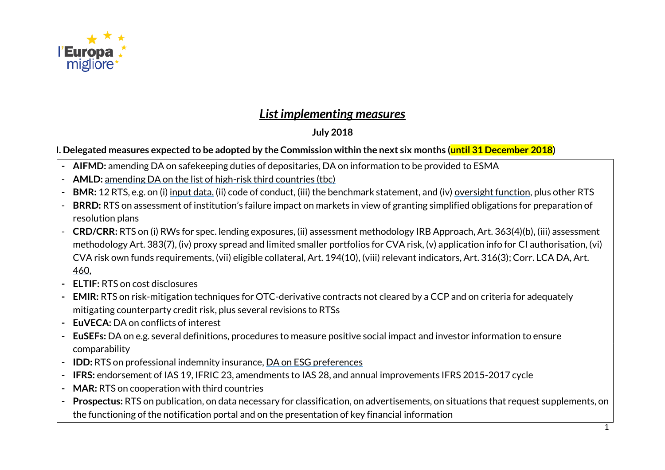

# *List implementing measures*

## **July 2018**

### **I. Delegated measures expected to be adopted by the Commission within the next six months (until 31 December 2018)**

- **- AIFMD:** amending DA on safekeeping duties of depositaries, DA on information to be provided to ESMA
- **AMLD:** amending DA on the list of high-risk third countries (tbc)
- **- BMR:** 12 RTS, e.g. on (i) input data, (ii) code of conduct, (iii) the benchmark statement, and (iv) oversight function, plus other RTS
- **BRRD:** RTS on assessment of institution's failure impact on markets in view of granting simplified obligations for preparation of resolution plans
- **CRD/CRR:** RTS on (i) RWs for spec. lending exposures, (ii) assessment methodology IRB Approach, Art. 363(4)(b), (iii) assessment methodology Art. 383(7), (iv) proxy spread and limited smaller portfolios for CVA risk, (v) application info for CI authorisation, (vi) CVA risk own funds requirements, (vii) eligible collateral, Art. 194(10), (viii) relevant indicators, Art. 316(3); Corr. LCA DA, Art. 460,
- **- ELTIF:** RTS on cost disclosures
- **- EMIR:** RTS on risk-mitigation techniques for OTC-derivative contracts not cleared by a CCP and on criteria for adequately mitigating counterparty credit risk, plus several revisions to RTSs
- **- EuVECA:** DA on conflicts of interest
- **- EuSEFs:** DA on e.g. several definitions, procedures to measure positive social impact and investor information to ensure comparability
- **- IDD:** RTS on professional indemnity insurance, DA on ESG preferences
- **- IFRS:** endorsement of IAS 19, IFRIC 23, amendments to IAS 28, and annual improvements IFRS 2015-2017 cycle
- **- MAR:** RTS on cooperation with third countries
- **- Prospectus:** RTS on publication, on data necessary for classification, on advertisements, on situations that request supplements, on the functioning of the notification portal and on the presentation of key financial information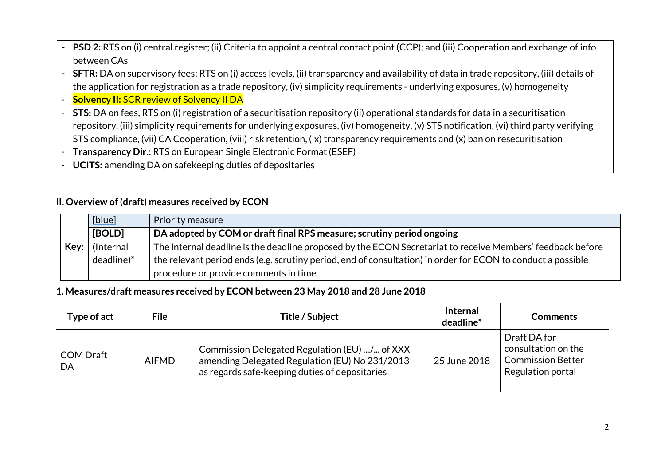- **- PSD 2:** RTS on (i) central register; (ii) Criteria to appoint a central contact point (CCP); and (iii) Cooperation and exchange of info between CAs
- **- SFTR:** DA on supervisory fees; RTS on (i) access levels, (ii) transparency and availability of data in trade repository, (iii) details of the application for registration as a trade repository, (iv) simplicity requirements - underlying exposures, (v) homogeneity
- **Solvency II: SCR review of Solvency II DA**
- **STS:** DA on fees, RTS on (i) registration of a securitisation repository (ii) operational standards for data in a securitisation repository, (iii) simplicity requirements for underlying exposures, (iv) homogeneity, (v) STS notification, (vi) third party verifying STS compliance, (vii) CA Cooperation, (viii) risk retention, (ix) transparency requirements and (x) ban on resecuritisation
- **Transparency Dir.:** RTS on European Single Electronic Format (ESEF)
- **UCITS:** amending DA on safekeeping duties of depositaries

#### **II. Overview of (draft) measures received by ECON**

|      | [blue]     | Priority measure                                                                                             |
|------|------------|--------------------------------------------------------------------------------------------------------------|
|      | [BOLD]     | DA adopted by COM or draft final RPS measure; scrutiny period ongoing                                        |
| Key: | (Internal  | The internal deadline is the deadline proposed by the ECON Secretariat to receive Members' feedback before   |
|      | deadline)* | the relevant period ends (e.g. scrutiny period, end of consultation) in order for ECON to conduct a possible |
|      |            | procedure or provide comments in time.                                                                       |

#### **1. Measures/draft measures received by ECON between 23 May 2018 and 28 June 2018**

| Type of act            | <b>File</b>  | Title / Subject                                                                                                                                   | <b>Internal</b><br>deadline* | <b>Comments</b>                                                                      |
|------------------------|--------------|---------------------------------------------------------------------------------------------------------------------------------------------------|------------------------------|--------------------------------------------------------------------------------------|
| <b>COM Draft</b><br>DA | <b>AIFMD</b> | Commission Delegated Regulation (EU) / of XXX<br>amending Delegated Regulation (EU) No 231/2013<br>as regards safe-keeping duties of depositaries | 25 June 2018                 | Draft DA for<br>consultation on the<br><b>Commission Better</b><br>Regulation portal |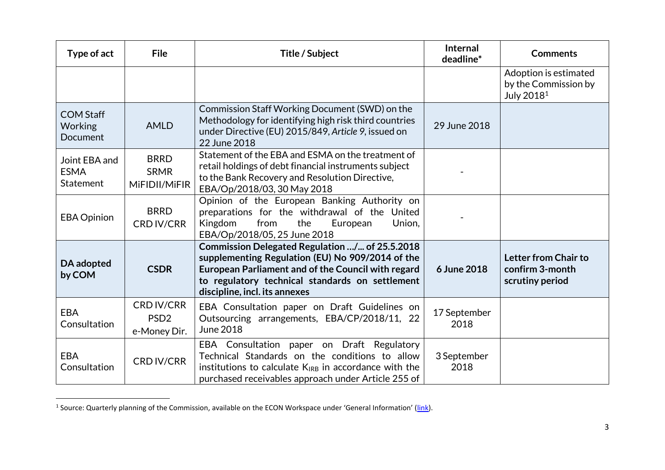| Type of act                                      | <b>File</b>                                           | Title / Subject                                                                                                                                                                                                                              | <b>Internal</b><br>deadline* | <b>Comments</b>                                                         |
|--------------------------------------------------|-------------------------------------------------------|----------------------------------------------------------------------------------------------------------------------------------------------------------------------------------------------------------------------------------------------|------------------------------|-------------------------------------------------------------------------|
|                                                  |                                                       |                                                                                                                                                                                                                                              |                              | Adoption is estimated<br>by the Commission by<br>July 2018 <sup>1</sup> |
| <b>COM Staff</b><br>Working<br>Document          | <b>AMLD</b>                                           | Commission Staff Working Document (SWD) on the<br>Methodology for identifying high risk third countries<br>under Directive (EU) 2015/849, Article 9, issued on<br>22 June 2018                                                               | 29 June 2018                 |                                                                         |
| Joint EBA and<br><b>ESMA</b><br><b>Statement</b> | <b>BRRD</b><br><b>SRMR</b><br>MiFIDII/MiFIR           | Statement of the EBA and ESMA on the treatment of<br>retail holdings of debt financial instruments subject<br>to the Bank Recovery and Resolution Directive,<br>EBA/Op/2018/03, 30 May 2018                                                  |                              |                                                                         |
| <b>EBA Opinion</b>                               | <b>BRRD</b><br><b>CRD IV/CRR</b>                      | Opinion of the European Banking Authority on<br>preparations for the withdrawal of the United<br>Kingdom<br>from<br>the<br>European<br>Union,<br>EBA/Op/2018/05, 25 June 2018                                                                |                              |                                                                         |
| DA adopted<br>by COM                             | <b>CSDR</b>                                           | Commission Delegated Regulation / of 25.5.2018<br>supplementing Regulation (EU) No 909/2014 of the<br>European Parliament and of the Council with regard<br>to regulatory technical standards on settlement<br>discipline, incl. its annexes | 6 June 2018                  | Letter from Chair to<br>confirm 3-month<br>scrutiny period              |
| <b>EBA</b><br>Consultation                       | <b>CRD IV/CRR</b><br>PSD <sub>2</sub><br>e-Money Dir. | EBA Consultation paper on Draft Guidelines on<br>Outsourcing arrangements, EBA/CP/2018/11, 22<br><b>June 2018</b>                                                                                                                            | 17 September<br>2018         |                                                                         |
| <b>EBA</b><br>Consultation                       | <b>CRD IV/CRR</b>                                     | EBA Consultation paper on Draft Regulatory<br>Technical Standards on the conditions to allow<br>institutions to calculate $K_{IRB}$ in accordance with the<br>purchased receivables approach under Article 255 of                            | 3 September<br>2018          |                                                                         |

<sup>&</sup>lt;u>-</u><br><sup>1</sup> Source: Quarterly planning of the Commission, available on the ECON Workspace under 'General Information' (<u>link</u>).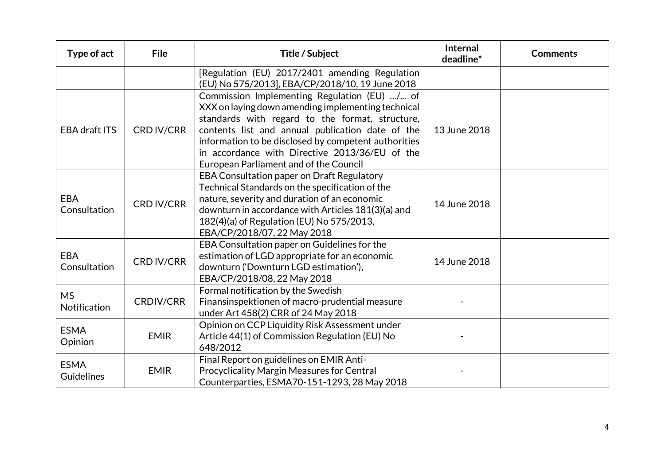| Type of act                | <b>File</b>       | Title / Subject                                                                                                                                                                                                                                                                                                                                               | Internal<br>deadline* | <b>Comments</b> |
|----------------------------|-------------------|---------------------------------------------------------------------------------------------------------------------------------------------------------------------------------------------------------------------------------------------------------------------------------------------------------------------------------------------------------------|-----------------------|-----------------|
|                            |                   | [Regulation (EU) 2017/2401 amending Regulation<br>(EU) No 575/2013], EBA/CP/2018/10, 19 June 2018                                                                                                                                                                                                                                                             |                       |                 |
| <b>EBA draft ITS</b>       | <b>CRD IV/CRR</b> | Commission Implementing Regulation (EU) / of<br>XXX on laying down amending implementing technical<br>standards with regard to the format, structure,<br>contents list and annual publication date of the<br>information to be disclosed by competent authorities<br>in accordance with Directive 2013/36/EU of the<br>European Parliament and of the Council | 13 June 2018          |                 |
| <b>EBA</b><br>Consultation | <b>CRD IV/CRR</b> | EBA Consultation paper on Draft Regulatory<br>Technical Standards on the specification of the<br>nature, severity and duration of an economic<br>downturn in accordance with Articles 181(3)(a) and<br>182(4)(a) of Regulation (EU) No 575/2013,<br>EBA/CP/2018/07, 22 May 2018                                                                               | 14 June 2018          |                 |
| <b>EBA</b><br>Consultation | <b>CRD IV/CRR</b> | EBA Consultation paper on Guidelines for the<br>estimation of LGD appropriate for an economic<br>downturn ('Downturn LGD estimation'),<br>EBA/CP/2018/08, 22 May 2018                                                                                                                                                                                         | 14 June 2018          |                 |
| <b>MS</b><br>Notification  | <b>CRDIV/CRR</b>  | Formal notification by the Swedish<br>Finansinspektionen of macro-prudential measure<br>under Art 458(2) CRR of 24 May 2018                                                                                                                                                                                                                                   |                       |                 |
| <b>ESMA</b><br>Opinion     | <b>EMIR</b>       | Opinion on CCP Liquidity Risk Assessment under<br>Article 44(1) of Commission Regulation (EU) No<br>648/2012                                                                                                                                                                                                                                                  |                       |                 |
| <b>ESMA</b><br>Guidelines  | <b>EMIR</b>       | Final Report on guidelines on EMIR Anti-<br>Procyclicality Margin Measures for Central<br>Counterparties, ESMA70-151-1293, 28 May 2018                                                                                                                                                                                                                        |                       |                 |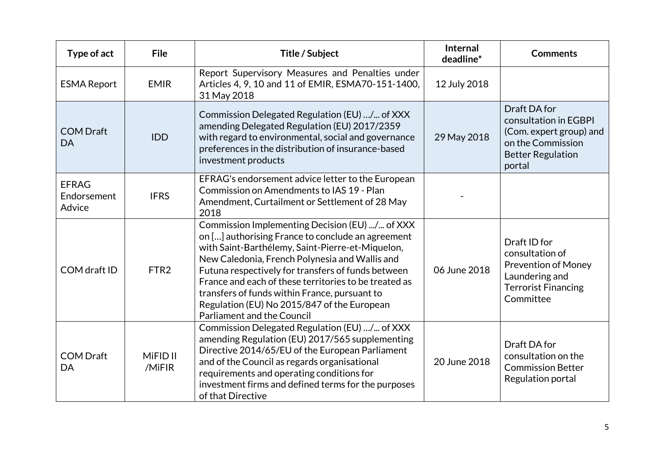| Type of act                           | <b>File</b>                   | Title / Subject                                                                                                                                                                                                                                                                                                                                                                                                                                               | <b>Internal</b><br>deadline* | <b>Comments</b>                                                                                                             |
|---------------------------------------|-------------------------------|---------------------------------------------------------------------------------------------------------------------------------------------------------------------------------------------------------------------------------------------------------------------------------------------------------------------------------------------------------------------------------------------------------------------------------------------------------------|------------------------------|-----------------------------------------------------------------------------------------------------------------------------|
| <b>ESMA Report</b>                    | <b>EMIR</b>                   | Report Supervisory Measures and Penalties under<br>Articles 4, 9, 10 and 11 of EMIR, ESMA70-151-1400,<br>31 May 2018                                                                                                                                                                                                                                                                                                                                          | 12 July 2018                 |                                                                                                                             |
| <b>COM Draft</b><br><b>DA</b>         | <b>IDD</b>                    | Commission Delegated Regulation (EU) / of XXX<br>amending Delegated Regulation (EU) 2017/2359<br>with regard to environmental, social and governance<br>preferences in the distribution of insurance-based<br>investment products                                                                                                                                                                                                                             | 29 May 2018                  | Draft DA for<br>consultation in EGBPI<br>(Com. expert group) and<br>on the Commission<br><b>Better Regulation</b><br>portal |
| <b>EFRAG</b><br>Endorsement<br>Advice | <b>IFRS</b>                   | EFRAG's endorsement advice letter to the European<br>Commission on Amendments to IAS 19 - Plan<br>Amendment, Curtailment or Settlement of 28 May<br>2018                                                                                                                                                                                                                                                                                                      |                              |                                                                                                                             |
| COM draft ID                          | FTR <sub>2</sub>              | Commission Implementing Decision (EU) / of XXX<br>on [] authorising France to conclude an agreement<br>with Saint-Barthélemy, Saint-Pierre-et-Miquelon,<br>New Caledonia, French Polynesia and Wallis and<br>Futuna respectively for transfers of funds between<br>France and each of these territories to be treated as<br>transfers of funds within France, pursuant to<br>Regulation (EU) No 2015/847 of the European<br><b>Parliament and the Council</b> | 06 June 2018                 | Draft ID for<br>consultation of<br><b>Prevention of Money</b><br>Laundering and<br><b>Terrorist Financing</b><br>Committee  |
| <b>COM Draft</b><br>DA                | MiFID <sub>II</sub><br>/MiFIR | Commission Delegated Regulation (EU) / of XXX<br>amending Regulation (EU) 2017/565 supplementing<br>Directive 2014/65/EU of the European Parliament<br>and of the Council as regards organisational<br>requirements and operating conditions for<br>investment firms and defined terms for the purposes<br>of that Directive                                                                                                                                  | 20 June 2018                 | Draft DA for<br>consultation on the<br><b>Commission Better</b><br>Regulation portal                                        |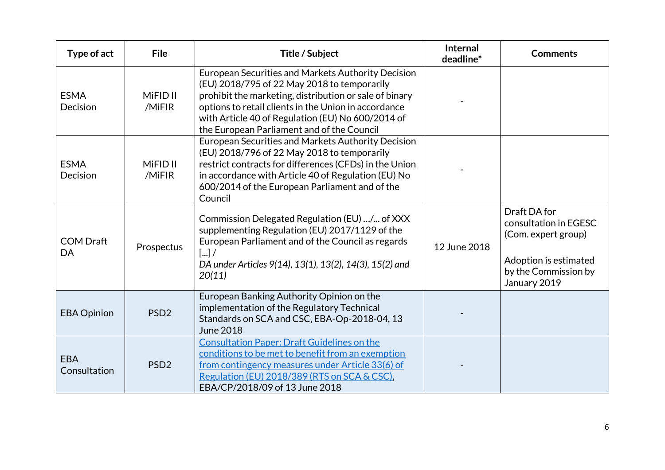| Type of act                | <b>File</b>                   | Title / Subject                                                                                                                                                                                                                                                                                                        | <b>Internal</b><br>deadline* | <b>Comments</b>                                                                                                               |
|----------------------------|-------------------------------|------------------------------------------------------------------------------------------------------------------------------------------------------------------------------------------------------------------------------------------------------------------------------------------------------------------------|------------------------------|-------------------------------------------------------------------------------------------------------------------------------|
| <b>ESMA</b><br>Decision    | MiFID <sub>II</sub><br>/MiFIR | European Securities and Markets Authority Decision<br>(EU) 2018/795 of 22 May 2018 to temporarily<br>prohibit the marketing, distribution or sale of binary<br>options to retail clients in the Union in accordance<br>with Article 40 of Regulation (EU) No 600/2014 of<br>the European Parliament and of the Council |                              |                                                                                                                               |
| <b>ESMA</b><br>Decision    | MiFID <sub>II</sub><br>/MiFIR | European Securities and Markets Authority Decision<br>(EU) 2018/796 of 22 May 2018 to temporarily<br>restrict contracts for differences (CFDs) in the Union<br>in accordance with Article 40 of Regulation (EU) No<br>600/2014 of the European Parliament and of the<br>Council                                        |                              |                                                                                                                               |
| <b>COM Draft</b><br>DA     | Prospectus                    | Commission Delegated Regulation (EU) / of XXX<br>supplementing Regulation (EU) 2017/1129 of the<br>European Parliament and of the Council as regards<br>$\left[\ldots\right]$<br>DA under Articles 9(14), 13(1), 13(2), 14(3), 15(2) and<br>20(11)                                                                     | 12 June 2018                 | Draft DA for<br>consultation in EGESC<br>(Com. expert group)<br>Adoption is estimated<br>by the Commission by<br>January 2019 |
| <b>EBA Opinion</b>         | PSD <sub>2</sub>              | European Banking Authority Opinion on the<br>implementation of the Regulatory Technical<br>Standards on SCA and CSC, EBA-Op-2018-04, 13<br><b>June 2018</b>                                                                                                                                                            |                              |                                                                                                                               |
| <b>EBA</b><br>Consultation | PSD <sub>2</sub>              | <b>Consultation Paper: Draft Guidelines on the</b><br>conditions to be met to benefit from an exemption<br>from contingency measures under Article 33(6) of<br>Regulation (EU) 2018/389 (RTS on SCA & CSC),<br>EBA/CP/2018/09 of 13 June 2018                                                                          |                              |                                                                                                                               |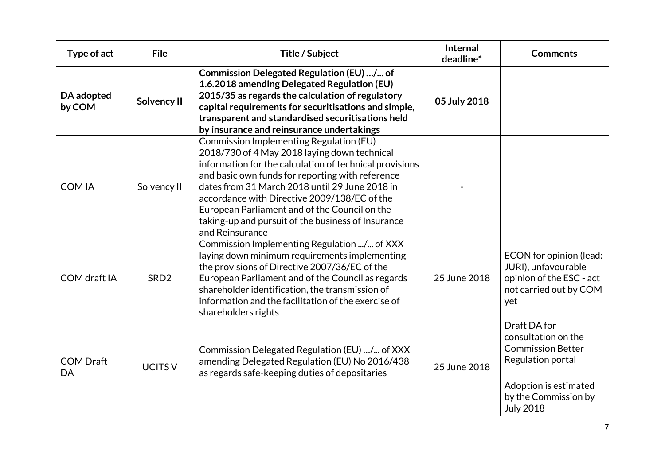| Type of act            | <b>File</b>      | Title / Subject                                                                                                                                                                                                                                                                                                                                                                                                                           | Internal<br>deadline* | <b>Comments</b>                                                                                                                                           |
|------------------------|------------------|-------------------------------------------------------------------------------------------------------------------------------------------------------------------------------------------------------------------------------------------------------------------------------------------------------------------------------------------------------------------------------------------------------------------------------------------|-----------------------|-----------------------------------------------------------------------------------------------------------------------------------------------------------|
| DA adopted<br>by COM   | Solvency II      | Commission Delegated Regulation (EU) / of<br>1.6.2018 amending Delegated Regulation (EU)<br>2015/35 as regards the calculation of regulatory<br>capital requirements for securitisations and simple,<br>transparent and standardised securitisations held<br>by insurance and reinsurance undertakings                                                                                                                                    | 05 July 2018          |                                                                                                                                                           |
| <b>COMIA</b>           | Solvency II      | <b>Commission Implementing Regulation (EU)</b><br>2018/730 of 4 May 2018 laying down technical<br>information for the calculation of technical provisions<br>and basic own funds for reporting with reference<br>dates from 31 March 2018 until 29 June 2018 in<br>accordance with Directive 2009/138/EC of the<br>European Parliament and of the Council on the<br>taking-up and pursuit of the business of Insurance<br>and Reinsurance |                       |                                                                                                                                                           |
| COM draft IA           | SRD <sub>2</sub> | Commission Implementing Regulation / of XXX<br>laying down minimum requirements implementing<br>the provisions of Directive 2007/36/EC of the<br>European Parliament and of the Council as regards<br>shareholder identification, the transmission of<br>information and the facilitation of the exercise of<br>shareholders rights                                                                                                       | 25 June 2018          | ECON for opinion (lead:<br>JURI), unfavourable<br>opinion of the ESC - act<br>not carried out by COM<br>yet                                               |
| <b>COM Draft</b><br>DA | <b>UCITS V</b>   | Commission Delegated Regulation (EU) / of XXX<br>amending Delegated Regulation (EU) No 2016/438<br>as regards safe-keeping duties of depositaries                                                                                                                                                                                                                                                                                         | 25 June 2018          | Draft DA for<br>consultation on the<br><b>Commission Better</b><br>Regulation portal<br>Adoption is estimated<br>by the Commission by<br><b>July 2018</b> |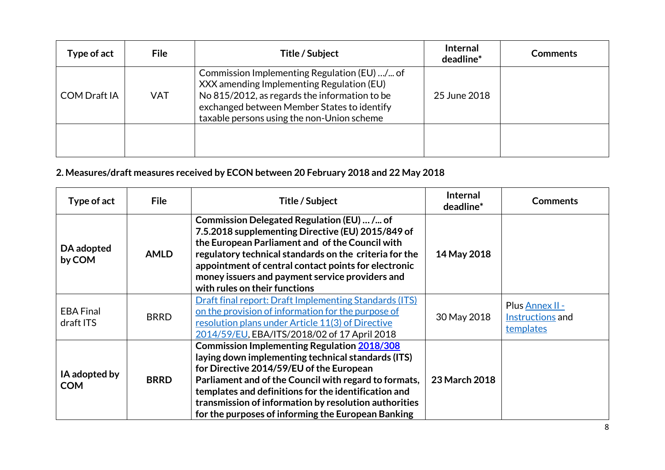| Type of act         | <b>File</b> | Title / Subject                                                                                                                                                                                                                         | <b>Internal</b><br>deadline* | <b>Comments</b> |
|---------------------|-------------|-----------------------------------------------------------------------------------------------------------------------------------------------------------------------------------------------------------------------------------------|------------------------------|-----------------|
| <b>COM Draft IA</b> | <b>VAT</b>  | Commission Implementing Regulation (EU) / of<br>XXX amending Implementing Regulation (EU)<br>No 815/2012, as regards the information to be<br>exchanged between Member States to identify<br>taxable persons using the non-Union scheme | 25 June 2018                 |                 |
|                     |             |                                                                                                                                                                                                                                         |                              |                 |

# **2. Measures/draft measures received by ECON between 20 February 2018 and 22 May 2018**

| Type of act                   | <b>File</b> | <b>Title / Subject</b>                                                                                                                                                                                                                                                                                                                                                               | <b>Internal</b><br>deadline* | <b>Comments</b>                                  |
|-------------------------------|-------------|--------------------------------------------------------------------------------------------------------------------------------------------------------------------------------------------------------------------------------------------------------------------------------------------------------------------------------------------------------------------------------------|------------------------------|--------------------------------------------------|
| DA adopted<br>by COM          | <b>AMLD</b> | Commission Delegated Regulation (EU)  / of<br>7.5.2018 supplementing Directive (EU) 2015/849 of<br>the European Parliament and of the Council with<br>regulatory technical standards on the criteria for the<br>appointment of central contact points for electronic<br>money issuers and payment service providers and<br>with rules on their functions                             | 14 May 2018                  |                                                  |
| <b>EBA Final</b><br>draft ITS | <b>BRRD</b> | <b>Draft final report: Draft Implementing Standards (ITS)</b><br>on the provision of information for the purpose of<br>resolution plans under Article 11(3) of Directive<br>2014/59/EU, EBA/ITS/2018/02 of 17 April 2018                                                                                                                                                             | 30 May 2018                  | Plus Annex II -<br>Instructions and<br>templates |
| IA adopted by<br><b>COM</b>   | <b>BRRD</b> | <b>Commission Implementing Regulation 2018/308</b><br>laying down implementing technical standards (ITS)<br>for Directive 2014/59/EU of the European<br>Parliament and of the Council with regard to formats,<br>templates and definitions for the identification and<br>transmission of information by resolution authorities<br>for the purposes of informing the European Banking | 23 March 2018                |                                                  |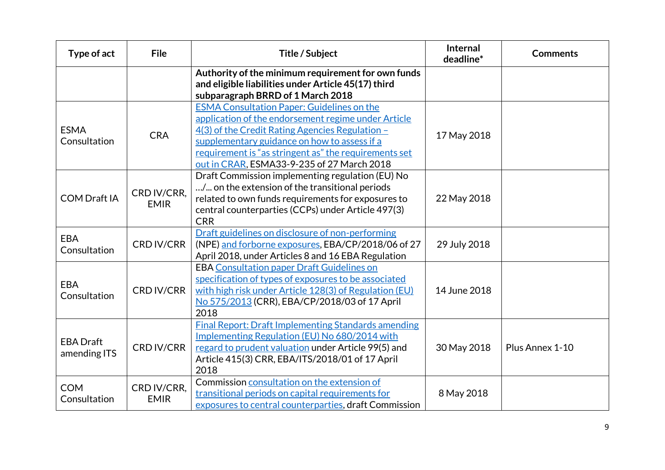| Type of act                      | <b>File</b>                | Title / Subject                                                                                                                                                                                                                                                                                                    | Internal<br>deadline* | <b>Comments</b> |
|----------------------------------|----------------------------|--------------------------------------------------------------------------------------------------------------------------------------------------------------------------------------------------------------------------------------------------------------------------------------------------------------------|-----------------------|-----------------|
|                                  |                            | Authority of the minimum requirement for own funds<br>and eligible liabilities under Article 45(17) third<br>subparagraph BRRD of 1 March 2018                                                                                                                                                                     |                       |                 |
| <b>ESMA</b><br>Consultation      | <b>CRA</b>                 | <b>ESMA Consultation Paper: Guidelines on the</b><br>application of the endorsement regime under Article<br>4(3) of the Credit Rating Agencies Regulation -<br>supplementary guidance on how to assess if a<br>requirement is "as stringent as" the requirements set<br>out in CRAR, ESMA33-9-235 of 27 March 2018 | 17 May 2018           |                 |
| <b>COM Draft IA</b>              | CRD IV/CRR,<br><b>EMIR</b> | Draft Commission implementing regulation (EU) No<br>/ on the extension of the transitional periods<br>related to own funds requirements for exposures to<br>central counterparties (CCPs) under Article 497(3)<br><b>CRR</b>                                                                                       | 22 May 2018           |                 |
| <b>EBA</b><br>Consultation       | <b>CRD IV/CRR</b>          | Draft guidelines on disclosure of non-performing<br>(NPE) and forborne exposures, EBA/CP/2018/06 of 27<br>April 2018, under Articles 8 and 16 EBA Regulation                                                                                                                                                       | 29 July 2018          |                 |
| <b>EBA</b><br>Consultation       | <b>CRD IV/CRR</b>          | <b>EBA Consultation paper Draft Guidelines on</b><br>specification of types of exposures to be associated<br>with high risk under Article 128(3) of Regulation (EU)<br>No 575/2013 (CRR), EBA/CP/2018/03 of 17 April<br>2018                                                                                       | 14 June 2018          |                 |
| <b>EBA Draft</b><br>amending ITS | <b>CRD IV/CRR</b>          | <b>Final Report: Draft Implementing Standards amending</b><br>Implementing Regulation (EU) No 680/2014 with<br>regard to prudent valuation under Article 99(5) and<br>Article 415(3) CRR, EBA/ITS/2018/01 of 17 April<br>2018                                                                                      | 30 May 2018           | Plus Annex 1-10 |
| <b>COM</b><br>Consultation       | CRD IV/CRR,<br><b>EMIR</b> | Commission consultation on the extension of<br>transitional periods on capital requirements for<br>exposures to central counterparties, draft Commission                                                                                                                                                           | 8 May 2018            |                 |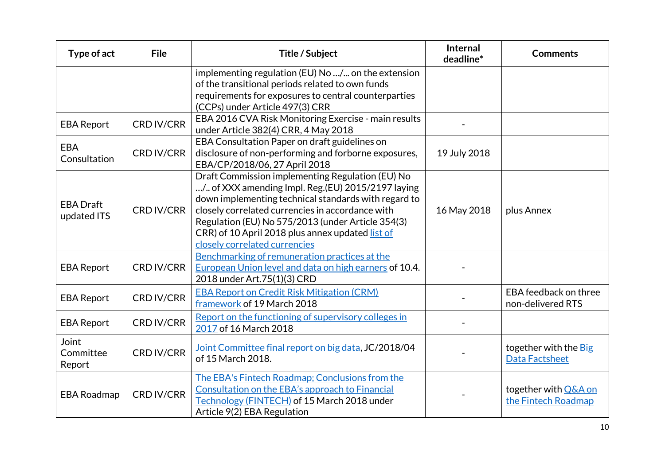| Type of act                     | <b>File</b>       | Title / Subject                                                                                                                                                                                                                                                                                                                                             | Internal<br>deadline* | <b>Comments</b>                                |
|---------------------------------|-------------------|-------------------------------------------------------------------------------------------------------------------------------------------------------------------------------------------------------------------------------------------------------------------------------------------------------------------------------------------------------------|-----------------------|------------------------------------------------|
|                                 |                   | implementing regulation (EU) No / on the extension<br>of the transitional periods related to own funds<br>requirements for exposures to central counterparties<br>(CCPs) under Article 497(3) CRR                                                                                                                                                           |                       |                                                |
| <b>EBA Report</b>               | <b>CRD IV/CRR</b> | EBA 2016 CVA Risk Monitoring Exercise - main results<br>under Article 382(4) CRR, 4 May 2018                                                                                                                                                                                                                                                                |                       |                                                |
| <b>EBA</b><br>Consultation      | <b>CRD IV/CRR</b> | EBA Consultation Paper on draft guidelines on<br>disclosure of non-performing and forborne exposures,<br>EBA/CP/2018/06, 27 April 2018                                                                                                                                                                                                                      | 19 July 2018          |                                                |
| <b>EBA Draft</b><br>updated ITS | <b>CRD IV/CRR</b> | Draft Commission implementing Regulation (EU) No<br>/ of XXX amending Impl. Reg.(EU) 2015/2197 laying<br>down implementing technical standards with regard to<br>closely correlated currencies in accordance with<br>Regulation (EU) No 575/2013 (under Article 354(3)<br>CRR) of 10 April 2018 plus annex updated list of<br>closely correlated currencies | 16 May 2018           | plus Annex                                     |
| <b>EBA Report</b>               | <b>CRD IV/CRR</b> | Benchmarking of remuneration practices at the<br>European Union level and data on high earners of 10.4.<br>2018 under Art.75(1)(3) CRD                                                                                                                                                                                                                      |                       |                                                |
| <b>EBA Report</b>               | <b>CRD IV/CRR</b> | <b>EBA Report on Credit Risk Mitigation (CRM)</b><br>framework of 19 March 2018                                                                                                                                                                                                                                                                             |                       | EBA feedback on three<br>non-delivered RTS     |
| <b>EBA Report</b>               | <b>CRD IV/CRR</b> | Report on the functioning of supervisory colleges in<br>2017 of 16 March 2018                                                                                                                                                                                                                                                                               |                       |                                                |
| Joint<br>Committee<br>Report    | <b>CRD IV/CRR</b> | Joint Committee final report on big data, JC/2018/04<br>of 15 March 2018.                                                                                                                                                                                                                                                                                   |                       | together with the Big<br><b>Data Factsheet</b> |
| <b>EBA Roadmap</b>              | <b>CRD IV/CRR</b> | The EBA's Fintech Roadmap; Conclusions from the<br>Consultation on the EBA's approach to Financial<br>Technology (FINTECH) of 15 March 2018 under<br>Article 9(2) EBA Regulation                                                                                                                                                                            |                       | together with Q&A on<br>the Fintech Roadmap    |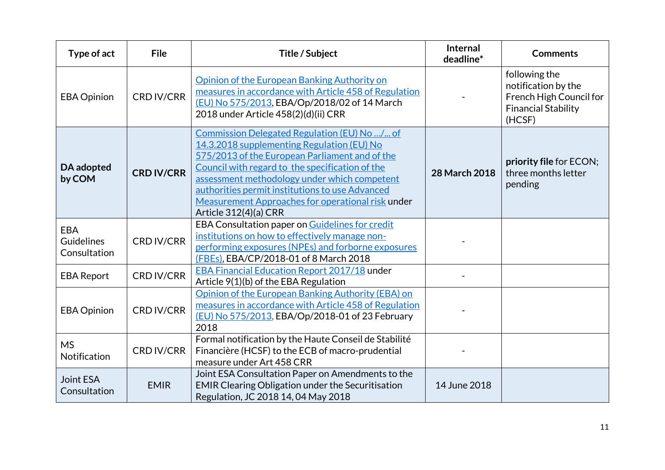| Type of act                                     | <b>File</b>       | Title / Subject                                                                                                                                                                                                                                                                                                                                                                  | Internal<br>deadline* | <b>Comments</b>                                                                                         |
|-------------------------------------------------|-------------------|----------------------------------------------------------------------------------------------------------------------------------------------------------------------------------------------------------------------------------------------------------------------------------------------------------------------------------------------------------------------------------|-----------------------|---------------------------------------------------------------------------------------------------------|
| <b>EBA Opinion</b>                              | <b>CRD IV/CRR</b> | Opinion of the European Banking Authority on<br>measures in accordance with Article 458 of Regulation<br>(EU) No 575/2013, EBA/Op/2018/02 of 14 March<br>2018 under Article 458(2)(d)(ii) CRR                                                                                                                                                                                    |                       | following the<br>notification by the<br>French High Council for<br><b>Financial Stability</b><br>(HCSF) |
| DA adopted<br>by COM                            | <b>CRD IV/CRR</b> | Commission Delegated Regulation (EU) No / of<br>14.3.2018 supplementing Regulation (EU) No<br>575/2013 of the European Parliament and of the<br>Council with regard to the specification of the<br>assessment methodology under which competent<br>authorities permit institutions to use Advanced<br>Measurement Approaches for operational risk under<br>Article 312(4)(a) CRR | 28 March 2018         | priority file for ECON;<br>three months letter<br>pending                                               |
| <b>EBA</b><br><b>Guidelines</b><br>Consultation | <b>CRD IV/CRR</b> | EBA Consultation paper on Guidelines for credit<br>institutions on how to effectively manage non-<br>performing exposures (NPEs) and forborne exposures<br>(FBEs), EBA/CP/2018-01 of 8 March 2018                                                                                                                                                                                |                       |                                                                                                         |
| <b>EBA Report</b>                               | <b>CRD IV/CRR</b> | <b>EBA Financial Education Report 2017/18 under</b><br>Article 9(1)(b) of the EBA Regulation                                                                                                                                                                                                                                                                                     |                       |                                                                                                         |
| <b>EBA Opinion</b>                              | <b>CRD IV/CRR</b> | Opinion of the European Banking Authority (EBA) on<br>measures in accordance with Article 458 of Regulation<br>(EU) No 575/2013, EBA/Op/2018-01 of 23 February<br>2018                                                                                                                                                                                                           |                       |                                                                                                         |
| <b>MS</b><br>Notification                       | <b>CRD IV/CRR</b> | Formal notification by the Haute Conseil de Stabilité<br>Financière (HCSF) to the ECB of macro-prudential<br>measure under Art 458 CRR                                                                                                                                                                                                                                           |                       |                                                                                                         |
| <b>Joint ESA</b><br>Consultation                | <b>EMIR</b>       | Joint ESA Consultation Paper on Amendments to the<br>EMIR Clearing Obligation under the Securitisation<br>Regulation, JC 2018 14, 04 May 2018                                                                                                                                                                                                                                    | 14 June 2018          |                                                                                                         |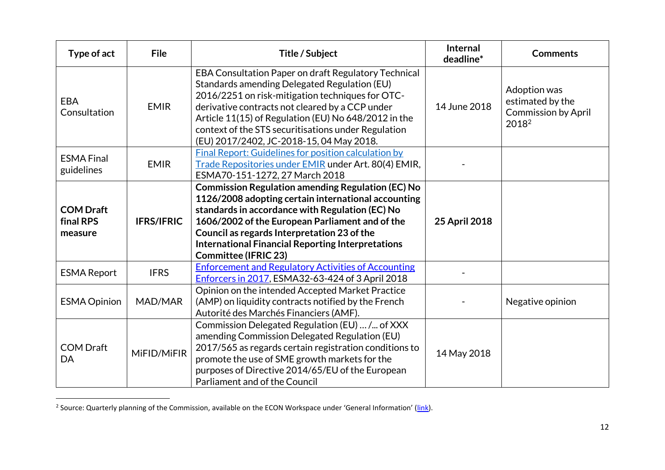| Type of act                              | <b>File</b>       | Title / Subject                                                                                                                                                                                                                                                                                                                                                        | Internal<br>deadline* | <b>Comments</b>                                                                     |
|------------------------------------------|-------------------|------------------------------------------------------------------------------------------------------------------------------------------------------------------------------------------------------------------------------------------------------------------------------------------------------------------------------------------------------------------------|-----------------------|-------------------------------------------------------------------------------------|
| <b>EBA</b><br>Consultation               | <b>EMIR</b>       | EBA Consultation Paper on draft Regulatory Technical<br>Standards amending Delegated Regulation (EU)<br>2016/2251 on risk-mitigation techniques for OTC-<br>derivative contracts not cleared by a CCP under<br>Article 11(15) of Regulation (EU) No 648/2012 in the<br>context of the STS securitisations under Regulation<br>(EU) 2017/2402, JC-2018-15, 04 May 2018. | 14 June 2018          | Adoption was<br>estimated by the<br><b>Commission by April</b><br>2018 <sup>2</sup> |
| <b>ESMA Final</b><br>guidelines          | <b>EMIR</b>       | Final Report: Guidelines for position calculation by<br>Trade Repositories under EMIR under Art. 80(4) EMIR,<br>ESMA70-151-1272, 27 March 2018                                                                                                                                                                                                                         |                       |                                                                                     |
| <b>COM Draft</b><br>final RPS<br>measure | <b>IFRS/IFRIC</b> | <b>Commission Regulation amending Regulation (EC) No</b><br>1126/2008 adopting certain international accounting<br>standards in accordance with Regulation (EC) No<br>1606/2002 of the European Parliament and of the<br>Council as regards Interpretation 23 of the<br><b>International Financial Reporting Interpretations</b><br><b>Committee (IFRIC 23)</b>        | 25 April 2018         |                                                                                     |
| <b>ESMA Report</b>                       | <b>IFRS</b>       | <b>Enforcement and Regulatory Activities of Accounting</b><br>Enforcers in 2017, ESMA32-63-424 of 3 April 2018                                                                                                                                                                                                                                                         |                       |                                                                                     |
| <b>ESMA Opinion</b>                      | MAD/MAR           | Opinion on the intended Accepted Market Practice<br>(AMP) on liquidity contracts notified by the French<br>Autorité des Marchés Financiers (AMF).                                                                                                                                                                                                                      |                       | Negative opinion                                                                    |
| <b>COM Draft</b><br>DA                   | MiFID/MiFIR       | Commission Delegated Regulation (EU)  /  of XXX<br>amending Commission Delegated Regulation (EU)<br>2017/565 as regards certain registration conditions to<br>promote the use of SME growth markets for the<br>purposes of Directive 2014/65/EU of the European<br>Parliament and of the Council                                                                       | 14 May 2018           |                                                                                     |

<sup>&</sup>lt;u>-</u><br><sup>2</sup> Source: Quarterly planning of the Commission, available on the ECON Workspace under 'General Information' (<u>link</u>).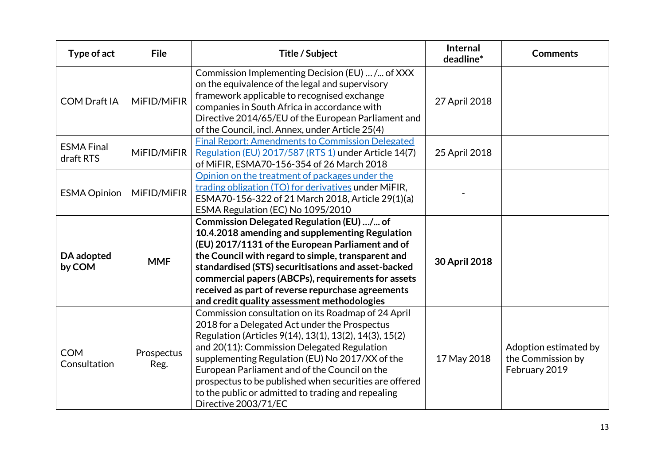| Type of act                    | <b>File</b>        | Title / Subject                                                                                                                                                                                                                                                                                                                                                                                                                                          | <b>Internal</b><br>deadline* | <b>Comments</b>                                             |
|--------------------------------|--------------------|----------------------------------------------------------------------------------------------------------------------------------------------------------------------------------------------------------------------------------------------------------------------------------------------------------------------------------------------------------------------------------------------------------------------------------------------------------|------------------------------|-------------------------------------------------------------|
| <b>COM Draft IA</b>            | MiFID/MiFIR        | Commission Implementing Decision (EU)  / of XXX<br>on the equivalence of the legal and supervisory<br>framework applicable to recognised exchange<br>companies in South Africa in accordance with<br>Directive 2014/65/EU of the European Parliament and<br>of the Council, incl. Annex, under Article 25(4)                                                                                                                                             | 27 April 2018                |                                                             |
| <b>ESMA Final</b><br>draft RTS | MiFID/MiFIR        | <b>Final Report: Amendments to Commission Delegated</b><br>Regulation (EU) 2017/587 (RTS 1) under Article 14(7)<br>of MiFIR, ESMA70-156-354 of 26 March 2018                                                                                                                                                                                                                                                                                             | 25 April 2018                |                                                             |
| <b>ESMA Opinion</b>            | MiFID/MiFIR        | Opinion on the treatment of packages under the<br>trading obligation (TO) for derivatives under MiFIR,<br>ESMA70-156-322 of 21 March 2018, Article 29(1)(a)<br>ESMA Regulation (EC) No 1095/2010                                                                                                                                                                                                                                                         |                              |                                                             |
| DA adopted<br>by COM           | <b>MMF</b>         | Commission Delegated Regulation (EU) / of<br>10.4.2018 amending and supplementing Regulation<br>(EU) 2017/1131 of the European Parliament and of<br>the Council with regard to simple, transparent and<br>standardised (STS) securitisations and asset-backed<br>commercial papers (ABCPs), requirements for assets<br>received as part of reverse repurchase agreements<br>and credit quality assessment methodologies                                  | 30 April 2018                |                                                             |
| <b>COM</b><br>Consultation     | Prospectus<br>Reg. | Commission consultation on its Roadmap of 24 April<br>2018 for a Delegated Act under the Prospectus<br>Regulation (Articles 9(14), 13(1), 13(2), 14(3), 15(2)<br>and 20(11): Commission Delegated Regulation<br>supplementing Regulation (EU) No 2017/XX of the<br>European Parliament and of the Council on the<br>prospectus to be published when securities are offered<br>to the public or admitted to trading and repealing<br>Directive 2003/71/EC | 17 May 2018                  | Adoption estimated by<br>the Commission by<br>February 2019 |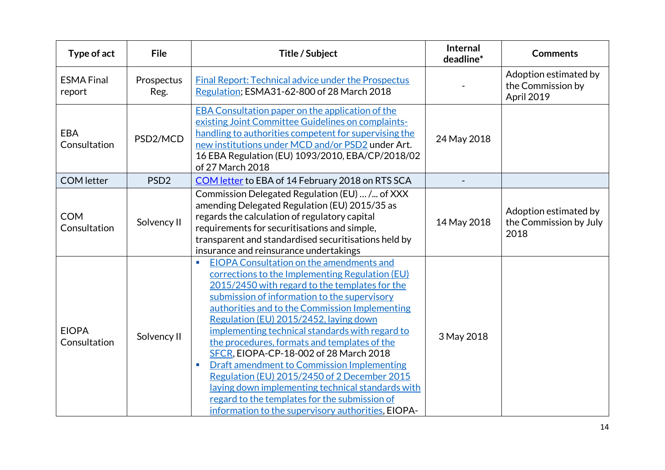| Type of act                  | <b>File</b>        | Title / Subject                                                                                                                                                                                                                                                                                                                                                                                                                                                                                                                                                                                                                                                                                                           | Internal<br>deadline* | <b>Comments</b>                                          |
|------------------------------|--------------------|---------------------------------------------------------------------------------------------------------------------------------------------------------------------------------------------------------------------------------------------------------------------------------------------------------------------------------------------------------------------------------------------------------------------------------------------------------------------------------------------------------------------------------------------------------------------------------------------------------------------------------------------------------------------------------------------------------------------------|-----------------------|----------------------------------------------------------|
| <b>ESMA Final</b><br>report  | Prospectus<br>Reg. | <b>Final Report: Technical advice under the Prospectus</b><br>Regulation; ESMA31-62-800 of 28 March 2018                                                                                                                                                                                                                                                                                                                                                                                                                                                                                                                                                                                                                  |                       | Adoption estimated by<br>the Commission by<br>April 2019 |
| EBA<br>Consultation          | PSD2/MCD           | EBA Consultation paper on the application of the<br>existing Joint Committee Guidelines on complaints-<br>handling to authorities competent for supervising the<br>new institutions under MCD and/or PSD2 under Art.<br>16 EBA Regulation (EU) 1093/2010, EBA/CP/2018/02<br>of 27 March 2018                                                                                                                                                                                                                                                                                                                                                                                                                              | 24 May 2018           |                                                          |
| <b>COM</b> letter            | PSD <sub>2</sub>   | COM letter to EBA of 14 February 2018 on RTS SCA                                                                                                                                                                                                                                                                                                                                                                                                                                                                                                                                                                                                                                                                          |                       |                                                          |
| <b>COM</b><br>Consultation   | Solvency II        | Commission Delegated Regulation (EU)  /  of XXX<br>amending Delegated Regulation (EU) 2015/35 as<br>regards the calculation of regulatory capital<br>requirements for securitisations and simple,<br>transparent and standardised securitisations held by<br>insurance and reinsurance undertakings                                                                                                                                                                                                                                                                                                                                                                                                                       | 14 May 2018           | Adoption estimated by<br>the Commission by July<br>2018  |
| <b>EIOPA</b><br>Consultation | Solvency II        | EIOPA Consultation on the amendments and<br>a.<br>corrections to the Implementing Regulation (EU)<br>2015/2450 with regard to the templates for the<br>submission of information to the supervisory<br>authorities and to the Commission Implementing<br>Regulation (EU) 2015/2452, laying down<br>implementing technical standards with regard to<br>the procedures, formats and templates of the<br>SFCR, EIOPA-CP-18-002 of 28 March 2018<br><b>Draft amendment to Commission Implementing</b><br><b>I</b><br>Regulation (EU) 2015/2450 of 2 December 2015<br>laying down implementing technical standards with<br>regard to the templates for the submission of<br>information to the supervisory authorities, EIOPA- | 3 May 2018            |                                                          |